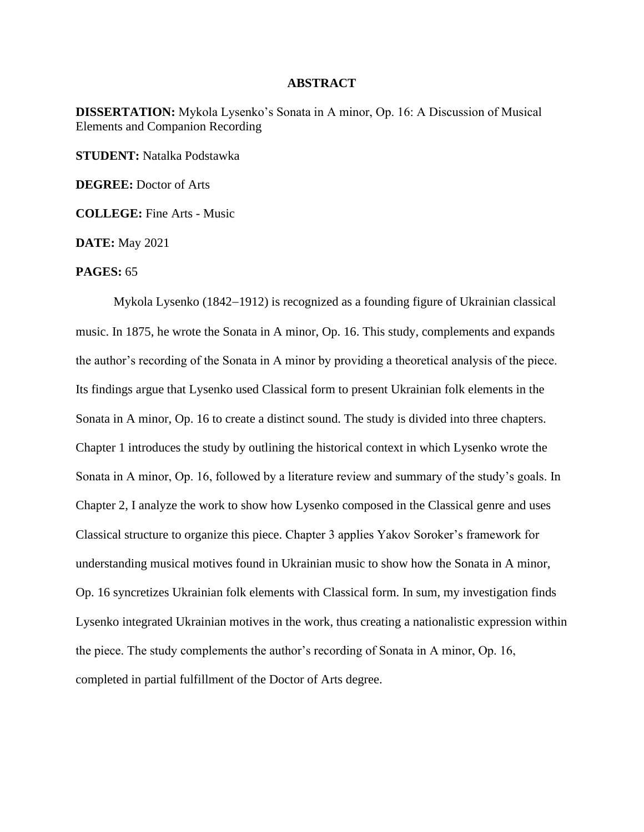## **ABSTRACT**

**DISSERTATION:** Mykola Lysenko's Sonata in A minor, Op. 16: A Discussion of Musical Elements and Companion Recording

**STUDENT:** Natalka Podstawka

**DEGREE:** Doctor of Arts

**COLLEGE:** Fine Arts - Music

**DATE:** May 2021

## **PAGES:** 65

Mykola Lysenko (1842−1912) is recognized as a founding figure of Ukrainian classical music. In 1875, he wrote the Sonata in A minor, Op. 16. This study, complements and expands the author's recording of the Sonata in A minor by providing a theoretical analysis of the piece. Its findings argue that Lysenko used Classical form to present Ukrainian folk elements in the Sonata in A minor, Op. 16 to create a distinct sound. The study is divided into three chapters. Chapter 1 introduces the study by outlining the historical context in which Lysenko wrote the Sonata in A minor, Op. 16, followed by a literature review and summary of the study's goals. In Chapter 2, I analyze the work to show how Lysenko composed in the Classical genre and uses Classical structure to organize this piece. Chapter 3 applies Yakov Soroker's framework for understanding musical motives found in Ukrainian music to show how the Sonata in A minor, Op. 16 syncretizes Ukrainian folk elements with Classical form. In sum, my investigation finds Lysenko integrated Ukrainian motives in the work, thus creating a nationalistic expression within the piece. The study complements the author's recording of Sonata in A minor, Op. 16, completed in partial fulfillment of the Doctor of Arts degree.